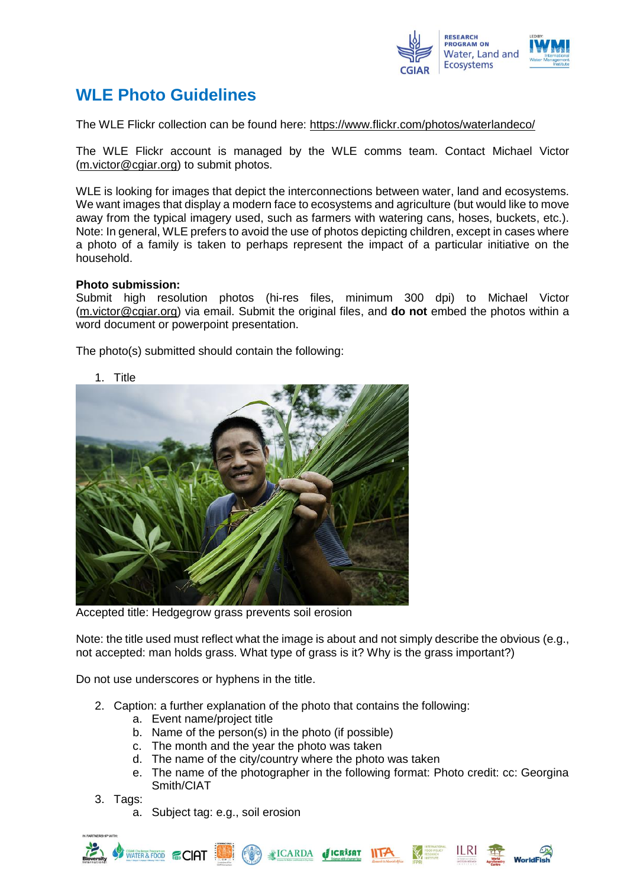

## **WLE Photo Guidelines**

The WLE Flickr collection can be found here:<https://www.flickr.com/photos/waterlandeco/>

The WLE Flickr account is managed by the WLE comms team. Contact Michael Victor [\(m.victor@cgiar.org\)](mailto:m.victor@cgiar.org) to submit photos.

WLE is looking for images that depict the interconnections between water, land and ecosystems. We want images that display a modern face to ecosystems and agriculture (but would like to move away from the typical imagery used, such as farmers with watering cans, hoses, buckets, etc.). Note: In general, WLE prefers to avoid the use of photos depicting children, except in cases where a photo of a family is taken to perhaps represent the impact of a particular initiative on the household.

## **Photo submission:**

Submit high resolution photos (hi-res files, minimum 300 dpi) to Michael Victor [\(m.victor@cgiar.org\)](mailto:m.victor@cgiar.org) via email. Submit the original files, and **do not** embed the photos within a word document or powerpoint presentation.

The photo(s) submitted should contain the following:



Accepted title: Hedgegrow grass prevents soil erosion

Note: the title used must reflect what the image is about and not simply describe the obvious (e.g., not accepted: man holds grass. What type of grass is it? Why is the grass important?)

Do not use underscores or hyphens in the title.

- 2. Caption: a further explanation of the photo that contains the following:
	- a. Event name/project title
	- b. Name of the person(s) in the photo (if possible)
	- c. The month and the year the photo was taken
	- d. The name of the city/country where the photo was taken
	- e. The name of the photographer in the following format: Photo credit: cc: Georgina Smith/CIAT
- 3. Tags:
	- a. Subject tag: e.g., soil erosion



1. Title